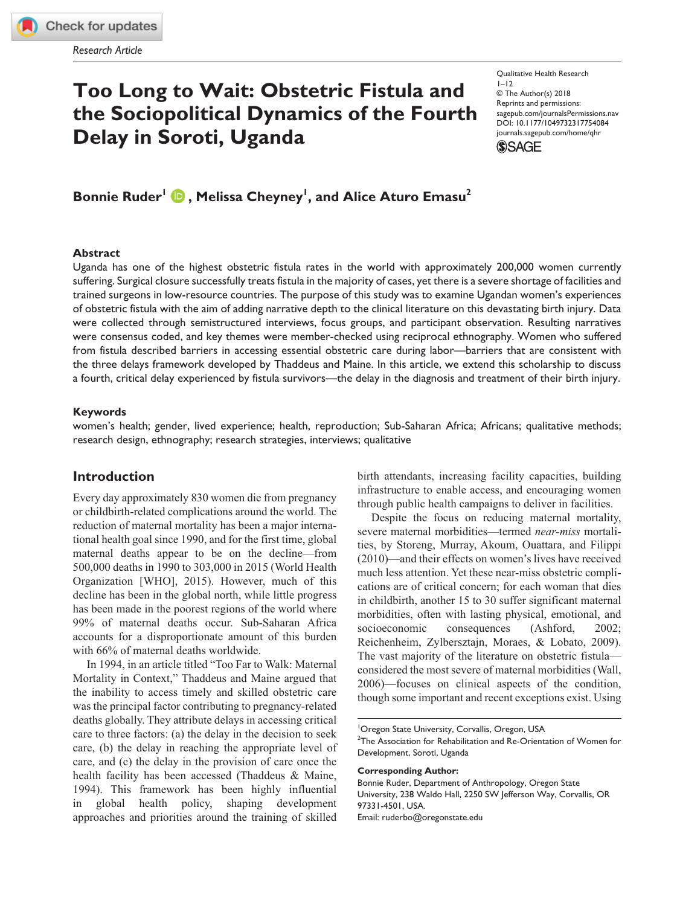**[754084](http://crossmark.crossref.org/dialog/?doi=10.1177%2F1049732317754084&domain=pdf&date_stamp=2018-02-07)** QHRXXX10.1177/1049732317754084Qualitative Health Research**Ruder et al.**

# **Too Long to Wait: Obstetric Fistula and the Sociopolitical Dynamics of the Fourth Delay in Soroti, Uganda**

Qualitative Health Research  $1 - 12$ © The Author(s) 2018 Reprints and permissions: [sagepub.com/journalsPermissions.nav](https://us.sagepub.com/en-us/journals-permissions) https://doi.org/10.1177/1049732317754084 DOI: 10.1177/1049732317754084 [journals.sagepub.com/home/qhr](https://journals.sagepub.com/home/qhr) **SSAGE** 

 $\bm{\mathsf{Bonnie\ Ruder}^{\mathsf{I}}}\ \bm{\mathsf{\textcolor{red}{\bullet}}}$  , Melissa Cheyney<sup>1</sup>, and Alice Aturo Emasu<sup>2</sup>

#### **Abstract**

Uganda has one of the highest obstetric fistula rates in the world with approximately 200,000 women currently suffering. Surgical closure successfully treats fistula in the majority of cases, yet there is a severe shortage of facilities and trained surgeons in low-resource countries. The purpose of this study was to examine Ugandan women's experiences of obstetric fistula with the aim of adding narrative depth to the clinical literature on this devastating birth injury. Data were collected through semistructured interviews, focus groups, and participant observation. Resulting narratives were consensus coded, and key themes were member-checked using reciprocal ethnography. Women who suffered from fistula described barriers in accessing essential obstetric care during labor—barriers that are consistent with the three delays framework developed by Thaddeus and Maine. In this article, we extend this scholarship to discuss a fourth, critical delay experienced by fistula survivors—the delay in the diagnosis and treatment of their birth injury.

#### **Keywords**

women's health; gender, lived experience; health, reproduction; Sub-Saharan Africa; Africans; qualitative methods; research design, ethnography; research strategies, interviews; qualitative

# **Introduction**

Every day approximately 830 women die from pregnancy or childbirth-related complications around the world. The reduction of maternal mortality has been a major international health goal since 1990, and for the first time, global maternal deaths appear to be on the decline—from 500,000 deaths in 1990 to 303,000 in 2015 (World Health Organization [WHO], 2015). However, much of this decline has been in the global north, while little progress has been made in the poorest regions of the world where 99% of maternal deaths occur. Sub-Saharan Africa accounts for a disproportionate amount of this burden with 66% of maternal deaths worldwide.

In 1994, in an article titled "Too Far to Walk: Maternal Mortality in Context," Thaddeus and Maine argued that the inability to access timely and skilled obstetric care was the principal factor contributing to pregnancy-related deaths globally. They attribute delays in accessing critical care to three factors: (a) the delay in the decision to seek care, (b) the delay in reaching the appropriate level of care, and (c) the delay in the provision of care once the health facility has been accessed (Thaddeus & Maine, 1994). This framework has been highly influential in global health policy, shaping development approaches and priorities around the training of skilled birth attendants, increasing facility capacities, building infrastructure to enable access, and encouraging women through public health campaigns to deliver in facilities.

Despite the focus on reducing maternal mortality, severe maternal morbidities—termed *near-miss* mortalities, by Storeng, Murray, Akoum, Ouattara, and Filippi (2010)—and their effects on women's lives have received much less attention. Yet these near-miss obstetric complications are of critical concern; for each woman that dies in childbirth, another 15 to 30 suffer significant maternal morbidities, often with lasting physical, emotional, and socioeconomic consequences (Ashford, 2002; Reichenheim, Zylbersztajn, Moraes, & Lobato, 2009). The vast majority of the literature on obstetric fistula considered the most severe of maternal morbidities (Wall, 2006)—focuses on clinical aspects of the condition, though some important and recent exceptions exist. Using

<sup>&</sup>lt;sup>1</sup>Oregon State University, Corvallis, Oregon, USA

 $2$ The Association for Rehabilitation and Re-Orientation of Women for Development, Soroti, Uganda

**Corresponding Author:**

Bonnie Ruder, Department of Anthropology, Oregon State University, 238 Waldo Hall, 2250 SW Jefferson Way, Corvallis, OR 97331-4501, USA. Email: [ruderbo@oregonstate.edu](mailto:ruderbo@oregonstate.edu)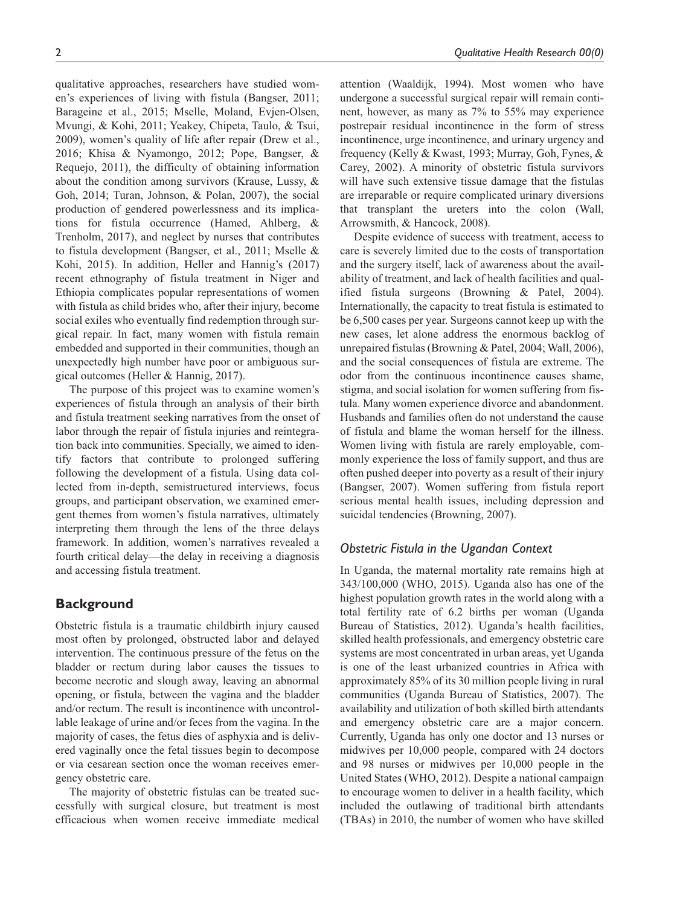qualitative approaches, researchers have studied women's experiences of living with fistula (Bangser, 2011; Barageine et al., 2015; Mselle, Moland, Evjen-Olsen, Mvungi, & Kohi, 2011; Yeakey, Chipeta, Taulo, & Tsui, 2009), women's quality of life after repair (Drew et al., 2016; Khisa & Nyamongo, 2012; Pope, Bangser, & Requejo, 2011), the difficulty of obtaining information about the condition among survivors (Krause, Lussy, & Goh, 2014; Turan, Johnson, & Polan, 2007), the social production of gendered powerlessness and its implications for fistula occurrence (Hamed, Ahlberg, & Trenholm, 2017), and neglect by nurses that contributes to fistula development (Bangser, et al., 2011; Mselle & Kohi, 2015). In addition, Heller and Hannig's (2017) recent ethnography of fistula treatment in Niger and Ethiopia complicates popular representations of women with fistula as child brides who, after their injury, become social exiles who eventually find redemption through surgical repair. In fact, many women with fistula remain embedded and supported in their communities, though an unexpectedly high number have poor or ambiguous surgical outcomes (Heller & Hannig, 2017).

The purpose of this project was to examine women's experiences of fistula through an analysis of their birth and fistula treatment seeking narratives from the onset of labor through the repair of fistula injuries and reintegration back into communities. Specially, we aimed to identify factors that contribute to prolonged suffering following the development of a fistula. Using data collected from in-depth, semistructured interviews, focus groups, and participant observation, we examined emergent themes from women's fistula narratives, ultimately interpreting them through the lens of the three delays framework. In addition, women's narratives revealed a fourth critical delay—the delay in receiving a diagnosis and accessing fistula treatment.

## **Background**

Obstetric fistula is a traumatic childbirth injury caused most often by prolonged, obstructed labor and delayed intervention. The continuous pressure of the fetus on the bladder or rectum during labor causes the tissues to become necrotic and slough away, leaving an abnormal opening, or fistula, between the vagina and the bladder and/or rectum. The result is incontinence with uncontrollable leakage of urine and/or feces from the vagina. In the majority of cases, the fetus dies of asphyxia and is delivered vaginally once the fetal tissues begin to decompose or via cesarean section once the woman receives emergency obstetric care.

The majority of obstetric fistulas can be treated successfully with surgical closure, but treatment is most efficacious when women receive immediate medical attention (Waaldijk, 1994). Most women who have undergone a successful surgical repair will remain continent, however, as many as 7% to 55% may experience postrepair residual incontinence in the form of stress incontinence, urge incontinence, and urinary urgency and frequency (Kelly & Kwast, 1993; Murray, Goh, Fynes, & Carey, 2002). A minority of obstetric fistula survivors will have such extensive tissue damage that the fistulas are irreparable or require complicated urinary diversions that transplant the ureters into the colon (Wall, Arrowsmith, & Hancock, 2008).

Despite evidence of success with treatment, access to care is severely limited due to the costs of transportation and the surgery itself, lack of awareness about the availability of treatment, and lack of health facilities and qualified fistula surgeons (Browning & Patel, 2004). Internationally, the capacity to treat fistula is estimated to be 6,500 cases per year. Surgeons cannot keep up with the new cases, let alone address the enormous backlog of unrepaired fistulas (Browning & Patel, 2004; Wall, 2006), and the social consequences of fistula are extreme. The odor from the continuous incontinence causes shame, stigma, and social isolation for women suffering from fistula. Many women experience divorce and abandonment. Husbands and families often do not understand the cause of fistula and blame the woman herself for the illness. Women living with fistula are rarely employable, commonly experience the loss of family support, and thus are often pushed deeper into poverty as a result of their injury (Bangser, 2007). Women suffering from fistula report serious mental health issues, including depression and suicidal tendencies (Browning, 2007).

## *Obstetric Fistula in the Ugandan Context*

In Uganda, the maternal mortality rate remains high at 343/100,000 (WHO, 2015). Uganda also has one of the highest population growth rates in the world along with a total fertility rate of 6.2 births per woman (Uganda Bureau of Statistics, 2012). Uganda's health facilities, skilled health professionals, and emergency obstetric care systems are most concentrated in urban areas, yet Uganda is one of the least urbanized countries in Africa with approximately 85% of its 30 million people living in rural communities (Uganda Bureau of Statistics, 2007). The availability and utilization of both skilled birth attendants and emergency obstetric care are a major concern. Currently, Uganda has only one doctor and 13 nurses or midwives per 10,000 people, compared with 24 doctors and 98 nurses or midwives per 10,000 people in the United States (WHO, 2012). Despite a national campaign to encourage women to deliver in a health facility, which included the outlawing of traditional birth attendants (TBAs) in 2010, the number of women who have skilled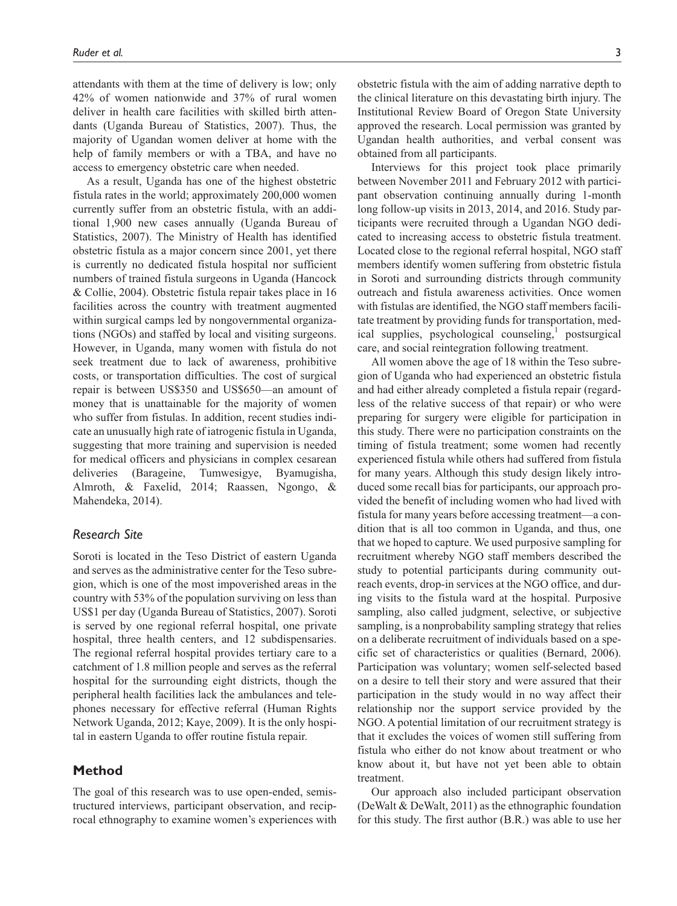attendants with them at the time of delivery is low; only 42% of women nationwide and 37% of rural women deliver in health care facilities with skilled birth attendants (Uganda Bureau of Statistics, 2007). Thus, the majority of Ugandan women deliver at home with the help of family members or with a TBA, and have no access to emergency obstetric care when needed.

As a result, Uganda has one of the highest obstetric fistula rates in the world; approximately 200,000 women currently suffer from an obstetric fistula, with an additional 1,900 new cases annually (Uganda Bureau of Statistics, 2007). The Ministry of Health has identified obstetric fistula as a major concern since 2001, yet there is currently no dedicated fistula hospital nor sufficient numbers of trained fistula surgeons in Uganda (Hancock & Collie, 2004). Obstetric fistula repair takes place in 16 facilities across the country with treatment augmented within surgical camps led by nongovernmental organizations (NGOs) and staffed by local and visiting surgeons. However, in Uganda, many women with fistula do not seek treatment due to lack of awareness, prohibitive costs, or transportation difficulties. The cost of surgical repair is between US\$350 and US\$650—an amount of money that is unattainable for the majority of women who suffer from fistulas. In addition, recent studies indicate an unusually high rate of iatrogenic fistula in Uganda, suggesting that more training and supervision is needed for medical officers and physicians in complex cesarean deliveries (Barageine, Tumwesigye, Byamugisha, Almroth, & Faxelid, 2014; Raassen, Ngongo, & Mahendeka, 2014).

#### *Research Site*

Soroti is located in the Teso District of eastern Uganda and serves as the administrative center for the Teso subregion, which is one of the most impoverished areas in the country with 53% of the population surviving on less than US\$1 per day (Uganda Bureau of Statistics, 2007). Soroti is served by one regional referral hospital, one private hospital, three health centers, and 12 subdispensaries. The regional referral hospital provides tertiary care to a catchment of 1.8 million people and serves as the referral hospital for the surrounding eight districts, though the peripheral health facilities lack the ambulances and telephones necessary for effective referral (Human Rights Network Uganda, 2012; Kaye, 2009). It is the only hospital in eastern Uganda to offer routine fistula repair.

## **Method**

The goal of this research was to use open-ended, semistructured interviews, participant observation, and reciprocal ethnography to examine women's experiences with obstetric fistula with the aim of adding narrative depth to the clinical literature on this devastating birth injury. The Institutional Review Board of Oregon State University approved the research. Local permission was granted by Ugandan health authorities, and verbal consent was obtained from all participants.

Interviews for this project took place primarily between November 2011 and February 2012 with participant observation continuing annually during 1-month long follow-up visits in 2013, 2014, and 2016. Study participants were recruited through a Ugandan NGO dedicated to increasing access to obstetric fistula treatment. Located close to the regional referral hospital, NGO staff members identify women suffering from obstetric fistula in Soroti and surrounding districts through community outreach and fistula awareness activities. Once women with fistulas are identified, the NGO staff members facilitate treatment by providing funds for transportation, medical supplies, psychological counseling,<sup>1</sup> postsurgical care, and social reintegration following treatment.

All women above the age of 18 within the Teso subregion of Uganda who had experienced an obstetric fistula and had either already completed a fistula repair (regardless of the relative success of that repair) or who were preparing for surgery were eligible for participation in this study. There were no participation constraints on the timing of fistula treatment; some women had recently experienced fistula while others had suffered from fistula for many years. Although this study design likely introduced some recall bias for participants, our approach provided the benefit of including women who had lived with fistula for many years before accessing treatment—a condition that is all too common in Uganda, and thus, one that we hoped to capture. We used purposive sampling for recruitment whereby NGO staff members described the study to potential participants during community outreach events, drop-in services at the NGO office, and during visits to the fistula ward at the hospital. Purposive sampling, also called judgment, selective, or subjective sampling, is a nonprobability sampling strategy that relies on a deliberate recruitment of individuals based on a specific set of characteristics or qualities (Bernard, 2006). Participation was voluntary; women self-selected based on a desire to tell their story and were assured that their participation in the study would in no way affect their relationship nor the support service provided by the NGO. A potential limitation of our recruitment strategy is that it excludes the voices of women still suffering from fistula who either do not know about treatment or who know about it, but have not yet been able to obtain treatment.

Our approach also included participant observation (DeWalt & DeWalt, 2011) as the ethnographic foundation for this study. The first author (B.R.) was able to use her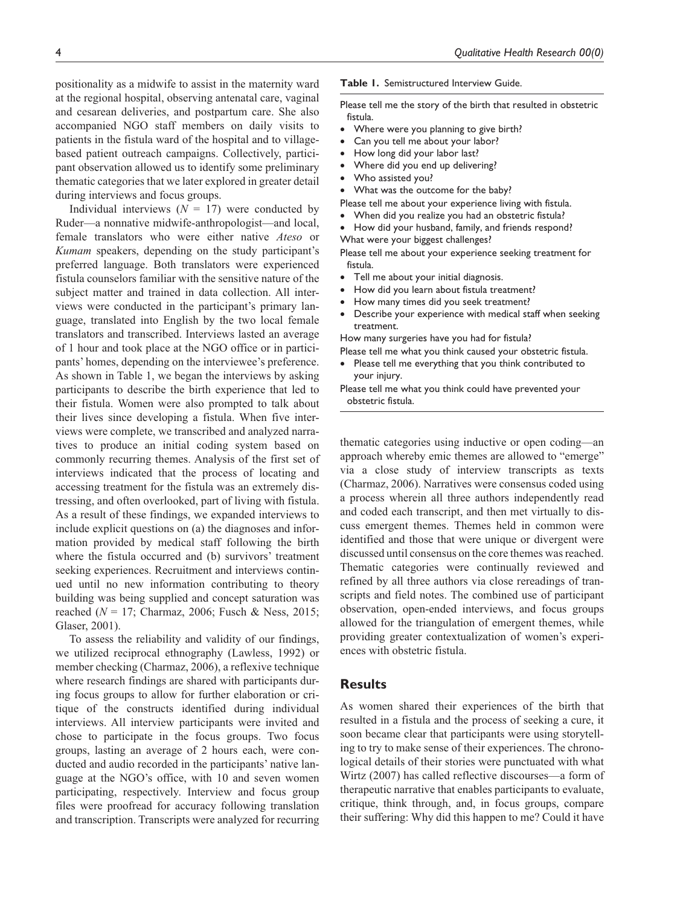positionality as a midwife to assist in the maternity ward at the regional hospital, observing antenatal care, vaginal and cesarean deliveries, and postpartum care. She also accompanied NGO staff members on daily visits to patients in the fistula ward of the hospital and to villagebased patient outreach campaigns. Collectively, participant observation allowed us to identify some preliminary thematic categories that we later explored in greater detail during interviews and focus groups.

Individual interviews  $(N = 17)$  were conducted by Ruder—a nonnative midwife-anthropologist—and local, female translators who were either native *Ateso* or *Kumam* speakers, depending on the study participant's preferred language. Both translators were experienced fistula counselors familiar with the sensitive nature of the subject matter and trained in data collection. All interviews were conducted in the participant's primary language, translated into English by the two local female translators and transcribed. Interviews lasted an average of 1 hour and took place at the NGO office or in participants' homes, depending on the interviewee's preference. As shown in Table 1, we began the interviews by asking participants to describe the birth experience that led to their fistula. Women were also prompted to talk about their lives since developing a fistula. When five interviews were complete, we transcribed and analyzed narratives to produce an initial coding system based on commonly recurring themes. Analysis of the first set of interviews indicated that the process of locating and accessing treatment for the fistula was an extremely distressing, and often overlooked, part of living with fistula. As a result of these findings, we expanded interviews to include explicit questions on (a) the diagnoses and information provided by medical staff following the birth where the fistula occurred and (b) survivors' treatment seeking experiences. Recruitment and interviews continued until no new information contributing to theory building was being supplied and concept saturation was reached (*N* = 17; Charmaz, 2006; Fusch & Ness, 2015; Glaser, 2001).

To assess the reliability and validity of our findings, we utilized reciprocal ethnography (Lawless, 1992) or member checking (Charmaz, 2006), a reflexive technique where research findings are shared with participants during focus groups to allow for further elaboration or critique of the constructs identified during individual interviews. All interview participants were invited and chose to participate in the focus groups. Two focus groups, lasting an average of 2 hours each, were conducted and audio recorded in the participants' native language at the NGO's office, with 10 and seven women participating, respectively. Interview and focus group files were proofread for accuracy following translation and transcription. Transcripts were analyzed for recurring

#### **Table 1.** Semistructured Interview Guide.

Please tell me the story of the birth that resulted in obstetric fistula.

- Where were you planning to give birth?
- Can you tell me about your labor?
- How long did your labor last?
- Where did you end up delivering?
- Who assisted you?
- What was the outcome for the baby?
- Please tell me about your experience living with fistula.
- When did you realize you had an obstetric fistula?
- How did your husband, family, and friends respond?
- What were your biggest challenges?

Please tell me about your experience seeking treatment for fistula.

- Tell me about your initial diagnosis.
- How did you learn about fistula treatment?
- How many times did you seek treatment?
- Describe your experience with medical staff when seeking treatment.

How many surgeries have you had for fistula?

- Please tell me what you think caused your obstetric fistula.
- Please tell me everything that you think contributed to your injury.

Please tell me what you think could have prevented your obstetric fistula.

thematic categories using inductive or open coding—an approach whereby emic themes are allowed to "emerge" via a close study of interview transcripts as texts (Charmaz, 2006). Narratives were consensus coded using a process wherein all three authors independently read and coded each transcript, and then met virtually to discuss emergent themes. Themes held in common were identified and those that were unique or divergent were discussed until consensus on the core themes was reached. Thematic categories were continually reviewed and refined by all three authors via close rereadings of transcripts and field notes. The combined use of participant observation, open-ended interviews, and focus groups allowed for the triangulation of emergent themes, while providing greater contextualization of women's experiences with obstetric fistula.

## **Results**

As women shared their experiences of the birth that resulted in a fistula and the process of seeking a cure, it soon became clear that participants were using storytelling to try to make sense of their experiences. The chronological details of their stories were punctuated with what Wirtz (2007) has called reflective discourses—a form of therapeutic narrative that enables participants to evaluate, critique, think through, and, in focus groups, compare their suffering: Why did this happen to me? Could it have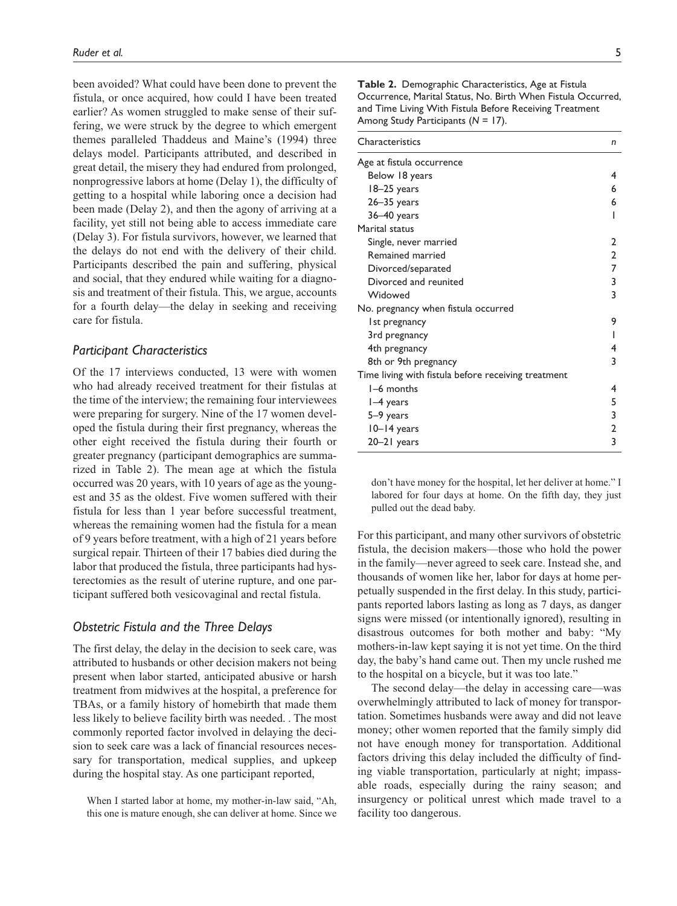been avoided? What could have been done to prevent the fistula, or once acquired, how could I have been treated earlier? As women struggled to make sense of their suffering, we were struck by the degree to which emergent themes paralleled Thaddeus and Maine's (1994) three delays model. Participants attributed, and described in great detail, the misery they had endured from prolonged, nonprogressive labors at home (Delay 1), the difficulty of getting to a hospital while laboring once a decision had been made (Delay 2), and then the agony of arriving at a facility, yet still not being able to access immediate care (Delay 3). For fistula survivors, however, we learned that the delays do not end with the delivery of their child. Participants described the pain and suffering, physical and social, that they endured while waiting for a diagnosis and treatment of their fistula. This, we argue, accounts for a fourth delay—the delay in seeking and receiving care for fistula.

## *Participant Characteristics*

Of the 17 interviews conducted, 13 were with women who had already received treatment for their fistulas at the time of the interview; the remaining four interviewees were preparing for surgery. Nine of the 17 women developed the fistula during their first pregnancy, whereas the other eight received the fistula during their fourth or greater pregnancy (participant demographics are summarized in Table 2). The mean age at which the fistula occurred was 20 years, with 10 years of age as the youngest and 35 as the oldest. Five women suffered with their fistula for less than 1 year before successful treatment, whereas the remaining women had the fistula for a mean of 9 years before treatment, with a high of 21 years before surgical repair. Thirteen of their 17 babies died during the labor that produced the fistula, three participants had hysterectomies as the result of uterine rupture, and one participant suffered both vesicovaginal and rectal fistula.

## *Obstetric Fistula and the Three Delays*

The first delay, the delay in the decision to seek care, was attributed to husbands or other decision makers not being present when labor started, anticipated abusive or harsh treatment from midwives at the hospital, a preference for TBAs, or a family history of homebirth that made them less likely to believe facility birth was needed. . The most commonly reported factor involved in delaying the decision to seek care was a lack of financial resources necessary for transportation, medical supplies, and upkeep during the hospital stay. As one participant reported,

When I started labor at home, my mother-in-law said, "Ah, this one is mature enough, she can deliver at home. Since we

**Table 2.** Demographic Characteristics, Age at Fistula Occurrence, Marital Status, No. Birth When Fistula Occurred, and Time Living With Fistula Before Receiving Treatment Among Study Participants (*N* = 17).

| Characteristics                                     | n |
|-----------------------------------------------------|---|
| Age at fistula occurrence                           |   |
| Below 18 years                                      | 4 |
| 18-25 years                                         | 6 |
| $26 - 35$ years                                     | 6 |
| $36 - 40$ years                                     | ı |
| Marital status                                      |   |
| Single, never married                               | 2 |
| Remained married                                    | 2 |
| Divorced/separated                                  | 7 |
| Divorced and reunited                               | 3 |
| Widowed                                             | 3 |
| No. pregnancy when fistula occurred                 |   |
| Ist pregnancy                                       | 9 |
| 3rd pregnancy                                       |   |
| 4th pregnancy                                       | 4 |
| 8th or 9th pregnancy                                | 3 |
| Time living with fistula before receiving treatment |   |
| I-6 months                                          | 4 |
| $I-4$ years                                         | 5 |
| 5–9 years                                           | 3 |
| 10-14 years                                         | 2 |
| 20-21 years                                         | 3 |

don't have money for the hospital, let her deliver at home." I labored for four days at home. On the fifth day, they just pulled out the dead baby.

For this participant, and many other survivors of obstetric fistula, the decision makers—those who hold the power in the family—never agreed to seek care. Instead she, and thousands of women like her, labor for days at home perpetually suspended in the first delay. In this study, participants reported labors lasting as long as 7 days, as danger signs were missed (or intentionally ignored), resulting in disastrous outcomes for both mother and baby: "My mothers-in-law kept saying it is not yet time. On the third day, the baby's hand came out. Then my uncle rushed me to the hospital on a bicycle, but it was too late."

The second delay—the delay in accessing care—was overwhelmingly attributed to lack of money for transportation. Sometimes husbands were away and did not leave money; other women reported that the family simply did not have enough money for transportation. Additional factors driving this delay included the difficulty of finding viable transportation, particularly at night; impassable roads, especially during the rainy season; and insurgency or political unrest which made travel to a facility too dangerous.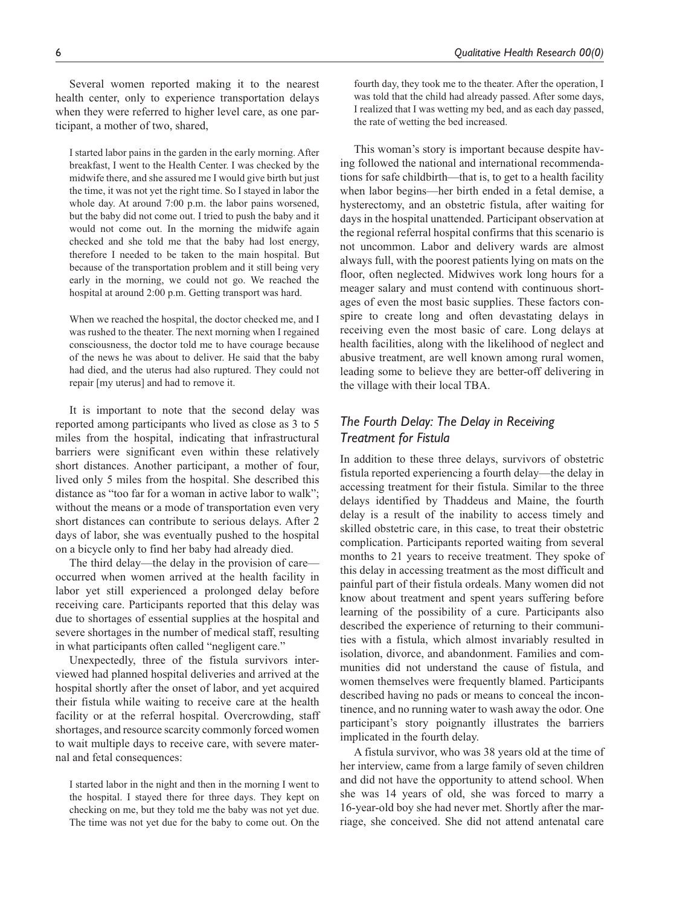Several women reported making it to the nearest health center, only to experience transportation delays when they were referred to higher level care, as one participant, a mother of two, shared,

I started labor pains in the garden in the early morning. After breakfast, I went to the Health Center. I was checked by the midwife there, and she assured me I would give birth but just the time, it was not yet the right time. So I stayed in labor the whole day. At around 7:00 p.m. the labor pains worsened, but the baby did not come out. I tried to push the baby and it would not come out. In the morning the midwife again checked and she told me that the baby had lost energy, therefore I needed to be taken to the main hospital. But because of the transportation problem and it still being very early in the morning, we could not go. We reached the hospital at around 2:00 p.m. Getting transport was hard.

When we reached the hospital, the doctor checked me, and I was rushed to the theater. The next morning when I regained consciousness, the doctor told me to have courage because of the news he was about to deliver. He said that the baby had died, and the uterus had also ruptured. They could not repair [my uterus] and had to remove it.

It is important to note that the second delay was reported among participants who lived as close as 3 to 5 miles from the hospital, indicating that infrastructural barriers were significant even within these relatively short distances. Another participant, a mother of four, lived only 5 miles from the hospital. She described this distance as "too far for a woman in active labor to walk"; without the means or a mode of transportation even very short distances can contribute to serious delays. After 2 days of labor, she was eventually pushed to the hospital on a bicycle only to find her baby had already died.

The third delay—the delay in the provision of care occurred when women arrived at the health facility in labor yet still experienced a prolonged delay before receiving care. Participants reported that this delay was due to shortages of essential supplies at the hospital and severe shortages in the number of medical staff, resulting in what participants often called "negligent care."

Unexpectedly, three of the fistula survivors interviewed had planned hospital deliveries and arrived at the hospital shortly after the onset of labor, and yet acquired their fistula while waiting to receive care at the health facility or at the referral hospital. Overcrowding, staff shortages, and resource scarcity commonly forced women to wait multiple days to receive care, with severe maternal and fetal consequences:

I started labor in the night and then in the morning I went to the hospital. I stayed there for three days. They kept on checking on me, but they told me the baby was not yet due. The time was not yet due for the baby to come out. On the

fourth day, they took me to the theater. After the operation, I was told that the child had already passed. After some days, I realized that I was wetting my bed, and as each day passed, the rate of wetting the bed increased.

This woman's story is important because despite having followed the national and international recommendations for safe childbirth—that is, to get to a health facility when labor begins—her birth ended in a fetal demise, a hysterectomy, and an obstetric fistula, after waiting for days in the hospital unattended. Participant observation at the regional referral hospital confirms that this scenario is not uncommon. Labor and delivery wards are almost always full, with the poorest patients lying on mats on the floor, often neglected. Midwives work long hours for a meager salary and must contend with continuous shortages of even the most basic supplies. These factors conspire to create long and often devastating delays in receiving even the most basic of care. Long delays at health facilities, along with the likelihood of neglect and abusive treatment, are well known among rural women, leading some to believe they are better-off delivering in the village with their local TBA.

# *The Fourth Delay: The Delay in Receiving Treatment for Fistula*

In addition to these three delays, survivors of obstetric fistula reported experiencing a fourth delay—the delay in accessing treatment for their fistula. Similar to the three delays identified by Thaddeus and Maine, the fourth delay is a result of the inability to access timely and skilled obstetric care, in this case, to treat their obstetric complication. Participants reported waiting from several months to 21 years to receive treatment. They spoke of this delay in accessing treatment as the most difficult and painful part of their fistula ordeals. Many women did not know about treatment and spent years suffering before learning of the possibility of a cure. Participants also described the experience of returning to their communities with a fistula, which almost invariably resulted in isolation, divorce, and abandonment. Families and communities did not understand the cause of fistula, and women themselves were frequently blamed. Participants described having no pads or means to conceal the incontinence, and no running water to wash away the odor. One participant's story poignantly illustrates the barriers implicated in the fourth delay.

A fistula survivor, who was 38 years old at the time of her interview, came from a large family of seven children and did not have the opportunity to attend school. When she was 14 years of old, she was forced to marry a 16-year-old boy she had never met. Shortly after the marriage, she conceived. She did not attend antenatal care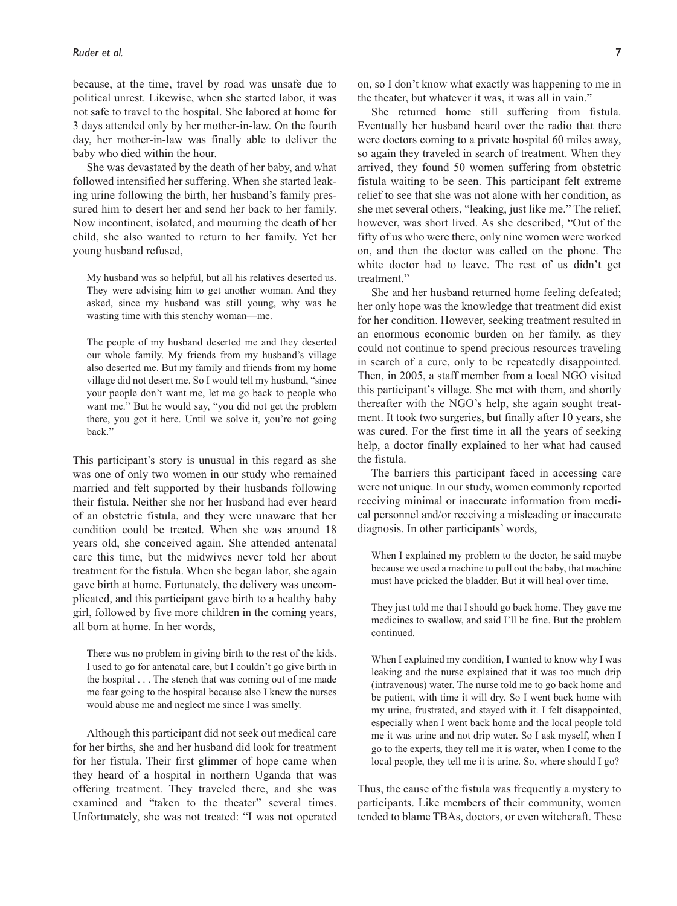because, at the time, travel by road was unsafe due to political unrest. Likewise, when she started labor, it was not safe to travel to the hospital. She labored at home for 3 days attended only by her mother-in-law. On the fourth day, her mother-in-law was finally able to deliver the baby who died within the hour.

She was devastated by the death of her baby, and what followed intensified her suffering. When she started leaking urine following the birth, her husband's family pressured him to desert her and send her back to her family. Now incontinent, isolated, and mourning the death of her child, she also wanted to return to her family. Yet her young husband refused,

My husband was so helpful, but all his relatives deserted us. They were advising him to get another woman. And they asked, since my husband was still young, why was he wasting time with this stenchy woman—me.

The people of my husband deserted me and they deserted our whole family. My friends from my husband's village also deserted me. But my family and friends from my home village did not desert me. So I would tell my husband, "since your people don't want me, let me go back to people who want me." But he would say, "you did not get the problem there, you got it here. Until we solve it, you're not going back."

This participant's story is unusual in this regard as she was one of only two women in our study who remained married and felt supported by their husbands following their fistula. Neither she nor her husband had ever heard of an obstetric fistula, and they were unaware that her condition could be treated. When she was around 18 years old, she conceived again. She attended antenatal care this time, but the midwives never told her about treatment for the fistula. When she began labor, she again gave birth at home. Fortunately, the delivery was uncomplicated, and this participant gave birth to a healthy baby girl, followed by five more children in the coming years, all born at home. In her words,

There was no problem in giving birth to the rest of the kids. I used to go for antenatal care, but I couldn't go give birth in the hospital . . . The stench that was coming out of me made me fear going to the hospital because also I knew the nurses would abuse me and neglect me since I was smelly.

Although this participant did not seek out medical care for her births, she and her husband did look for treatment for her fistula. Their first glimmer of hope came when they heard of a hospital in northern Uganda that was offering treatment. They traveled there, and she was examined and "taken to the theater" several times. Unfortunately, she was not treated: "I was not operated

She returned home still suffering from fistula. Eventually her husband heard over the radio that there were doctors coming to a private hospital 60 miles away, so again they traveled in search of treatment. When they arrived, they found 50 women suffering from obstetric fistula waiting to be seen. This participant felt extreme relief to see that she was not alone with her condition, as she met several others, "leaking, just like me." The relief, however, was short lived. As she described, "Out of the fifty of us who were there, only nine women were worked on, and then the doctor was called on the phone. The white doctor had to leave. The rest of us didn't get treatment."

She and her husband returned home feeling defeated; her only hope was the knowledge that treatment did exist for her condition. However, seeking treatment resulted in an enormous economic burden on her family, as they could not continue to spend precious resources traveling in search of a cure, only to be repeatedly disappointed. Then, in 2005, a staff member from a local NGO visited this participant's village. She met with them, and shortly thereafter with the NGO's help, she again sought treatment. It took two surgeries, but finally after 10 years, she was cured. For the first time in all the years of seeking help, a doctor finally explained to her what had caused the fistula.

The barriers this participant faced in accessing care were not unique. In our study, women commonly reported receiving minimal or inaccurate information from medical personnel and/or receiving a misleading or inaccurate diagnosis. In other participants' words,

When I explained my problem to the doctor, he said maybe because we used a machine to pull out the baby, that machine must have pricked the bladder. But it will heal over time.

They just told me that I should go back home. They gave me medicines to swallow, and said I'll be fine. But the problem continued.

When I explained my condition, I wanted to know why I was leaking and the nurse explained that it was too much drip (intravenous) water. The nurse told me to go back home and be patient, with time it will dry. So I went back home with my urine, frustrated, and stayed with it. I felt disappointed, especially when I went back home and the local people told me it was urine and not drip water. So I ask myself, when I go to the experts, they tell me it is water, when I come to the local people, they tell me it is urine. So, where should I go?

Thus, the cause of the fistula was frequently a mystery to participants. Like members of their community, women tended to blame TBAs, doctors, or even witchcraft. These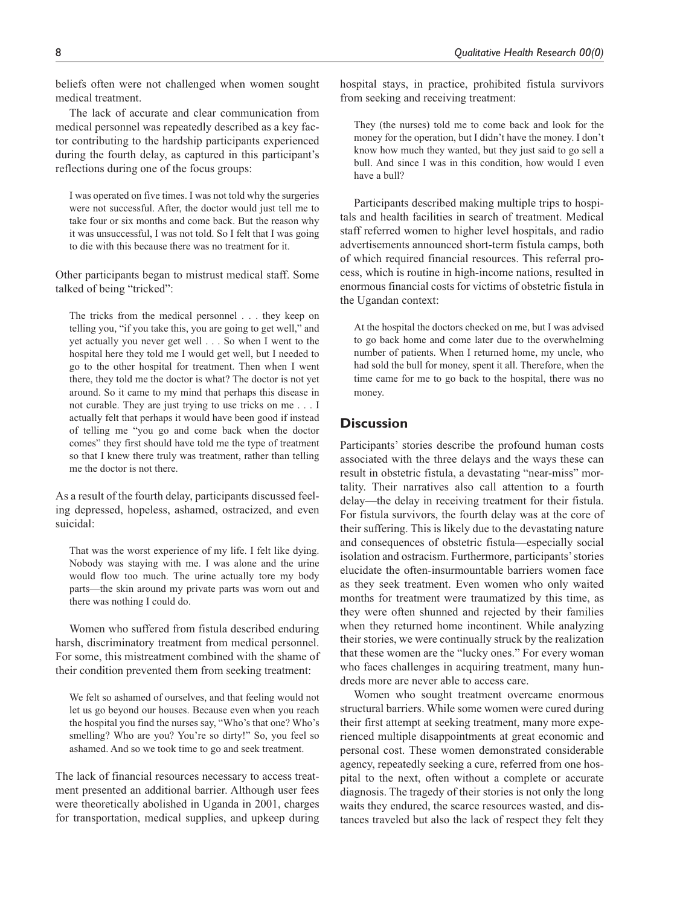beliefs often were not challenged when women sought medical treatment.

The lack of accurate and clear communication from medical personnel was repeatedly described as a key factor contributing to the hardship participants experienced during the fourth delay, as captured in this participant's reflections during one of the focus groups:

I was operated on five times. I was not told why the surgeries were not successful. After, the doctor would just tell me to take four or six months and come back. But the reason why it was unsuccessful, I was not told. So I felt that I was going to die with this because there was no treatment for it.

Other participants began to mistrust medical staff. Some talked of being "tricked":

The tricks from the medical personnel . . . they keep on telling you, "if you take this, you are going to get well," and yet actually you never get well . . . So when I went to the hospital here they told me I would get well, but I needed to go to the other hospital for treatment. Then when I went there, they told me the doctor is what? The doctor is not yet around. So it came to my mind that perhaps this disease in not curable. They are just trying to use tricks on me . . . I actually felt that perhaps it would have been good if instead of telling me "you go and come back when the doctor comes" they first should have told me the type of treatment so that I knew there truly was treatment, rather than telling me the doctor is not there.

As a result of the fourth delay, participants discussed feeling depressed, hopeless, ashamed, ostracized, and even suicidal:

That was the worst experience of my life. I felt like dying. Nobody was staying with me. I was alone and the urine would flow too much. The urine actually tore my body parts—the skin around my private parts was worn out and there was nothing I could do.

Women who suffered from fistula described enduring harsh, discriminatory treatment from medical personnel. For some, this mistreatment combined with the shame of their condition prevented them from seeking treatment:

We felt so ashamed of ourselves, and that feeling would not let us go beyond our houses. Because even when you reach the hospital you find the nurses say, "Who's that one? Who's smelling? Who are you? You're so dirty!" So, you feel so ashamed. And so we took time to go and seek treatment.

The lack of financial resources necessary to access treatment presented an additional barrier. Although user fees were theoretically abolished in Uganda in 2001, charges for transportation, medical supplies, and upkeep during hospital stays, in practice, prohibited fistula survivors from seeking and receiving treatment:

They (the nurses) told me to come back and look for the money for the operation, but I didn't have the money. I don't know how much they wanted, but they just said to go sell a bull. And since I was in this condition, how would I even have a bull?

Participants described making multiple trips to hospitals and health facilities in search of treatment. Medical staff referred women to higher level hospitals, and radio advertisements announced short-term fistula camps, both of which required financial resources. This referral process, which is routine in high-income nations, resulted in enormous financial costs for victims of obstetric fistula in the Ugandan context:

At the hospital the doctors checked on me, but I was advised to go back home and come later due to the overwhelming number of patients. When I returned home, my uncle, who had sold the bull for money, spent it all. Therefore, when the time came for me to go back to the hospital, there was no money.

# **Discussion**

Participants' stories describe the profound human costs associated with the three delays and the ways these can result in obstetric fistula, a devastating "near-miss" mortality. Their narratives also call attention to a fourth delay—the delay in receiving treatment for their fistula. For fistula survivors, the fourth delay was at the core of their suffering. This is likely due to the devastating nature and consequences of obstetric fistula—especially social isolation and ostracism. Furthermore, participants' stories elucidate the often-insurmountable barriers women face as they seek treatment. Even women who only waited months for treatment were traumatized by this time, as they were often shunned and rejected by their families when they returned home incontinent. While analyzing their stories, we were continually struck by the realization that these women are the "lucky ones." For every woman who faces challenges in acquiring treatment, many hundreds more are never able to access care.

Women who sought treatment overcame enormous structural barriers. While some women were cured during their first attempt at seeking treatment, many more experienced multiple disappointments at great economic and personal cost. These women demonstrated considerable agency, repeatedly seeking a cure, referred from one hospital to the next, often without a complete or accurate diagnosis. The tragedy of their stories is not only the long waits they endured, the scarce resources wasted, and distances traveled but also the lack of respect they felt they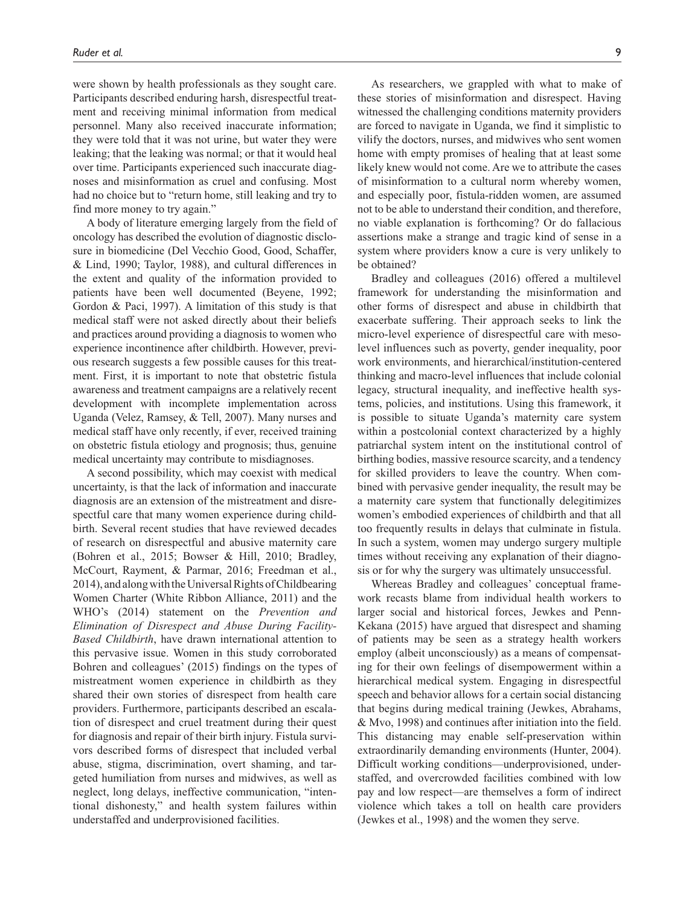were shown by health professionals as they sought care. Participants described enduring harsh, disrespectful treatment and receiving minimal information from medical personnel. Many also received inaccurate information; they were told that it was not urine, but water they were leaking; that the leaking was normal; or that it would heal over time. Participants experienced such inaccurate diagnoses and misinformation as cruel and confusing. Most had no choice but to "return home, still leaking and try to find more money to try again."

A body of literature emerging largely from the field of oncology has described the evolution of diagnostic disclosure in biomedicine (Del Vecchio Good, Good, Schaffer, & Lind, 1990; Taylor, 1988), and cultural differences in the extent and quality of the information provided to patients have been well documented (Beyene, 1992; Gordon & Paci, 1997). A limitation of this study is that medical staff were not asked directly about their beliefs and practices around providing a diagnosis to women who experience incontinence after childbirth. However, previous research suggests a few possible causes for this treatment. First, it is important to note that obstetric fistula awareness and treatment campaigns are a relatively recent development with incomplete implementation across Uganda (Velez, Ramsey, & Tell, 2007). Many nurses and medical staff have only recently, if ever, received training on obstetric fistula etiology and prognosis; thus, genuine medical uncertainty may contribute to misdiagnoses.

A second possibility, which may coexist with medical uncertainty, is that the lack of information and inaccurate diagnosis are an extension of the mistreatment and disrespectful care that many women experience during childbirth. Several recent studies that have reviewed decades of research on disrespectful and abusive maternity care (Bohren et al., 2015; Bowser & Hill, 2010; Bradley, McCourt, Rayment, & Parmar, 2016; Freedman et al., 2014), and along with the Universal Rights of Childbearing Women Charter (White Ribbon Alliance, 2011) and the WHO's (2014) statement on the *Prevention and Elimination of Disrespect and Abuse During Facility-Based Childbirth*, have drawn international attention to this pervasive issue. Women in this study corroborated Bohren and colleagues' (2015) findings on the types of mistreatment women experience in childbirth as they shared their own stories of disrespect from health care providers. Furthermore, participants described an escalation of disrespect and cruel treatment during their quest for diagnosis and repair of their birth injury. Fistula survivors described forms of disrespect that included verbal abuse, stigma, discrimination, overt shaming, and targeted humiliation from nurses and midwives, as well as neglect, long delays, ineffective communication, "intentional dishonesty," and health system failures within understaffed and underprovisioned facilities.

As researchers, we grappled with what to make of these stories of misinformation and disrespect. Having witnessed the challenging conditions maternity providers are forced to navigate in Uganda, we find it simplistic to vilify the doctors, nurses, and midwives who sent women home with empty promises of healing that at least some likely knew would not come. Are we to attribute the cases of misinformation to a cultural norm whereby women, and especially poor, fistula-ridden women, are assumed not to be able to understand their condition, and therefore, no viable explanation is forthcoming? Or do fallacious assertions make a strange and tragic kind of sense in a system where providers know a cure is very unlikely to be obtained?

Bradley and colleagues (2016) offered a multilevel framework for understanding the misinformation and other forms of disrespect and abuse in childbirth that exacerbate suffering. Their approach seeks to link the micro-level experience of disrespectful care with mesolevel influences such as poverty, gender inequality, poor work environments, and hierarchical/institution-centered thinking and macro-level influences that include colonial legacy, structural inequality, and ineffective health systems, policies, and institutions. Using this framework, it is possible to situate Uganda's maternity care system within a postcolonial context characterized by a highly patriarchal system intent on the institutional control of birthing bodies, massive resource scarcity, and a tendency for skilled providers to leave the country. When combined with pervasive gender inequality, the result may be a maternity care system that functionally delegitimizes women's embodied experiences of childbirth and that all too frequently results in delays that culminate in fistula. In such a system, women may undergo surgery multiple times without receiving any explanation of their diagnosis or for why the surgery was ultimately unsuccessful.

Whereas Bradley and colleagues' conceptual framework recasts blame from individual health workers to larger social and historical forces, Jewkes and Penn-Kekana (2015) have argued that disrespect and shaming of patients may be seen as a strategy health workers employ (albeit unconsciously) as a means of compensating for their own feelings of disempowerment within a hierarchical medical system. Engaging in disrespectful speech and behavior allows for a certain social distancing that begins during medical training (Jewkes, Abrahams, & Mvo, 1998) and continues after initiation into the field. This distancing may enable self-preservation within extraordinarily demanding environments (Hunter, 2004). Difficult working conditions—underprovisioned, understaffed, and overcrowded facilities combined with low pay and low respect—are themselves a form of indirect violence which takes a toll on health care providers (Jewkes et al., 1998) and the women they serve.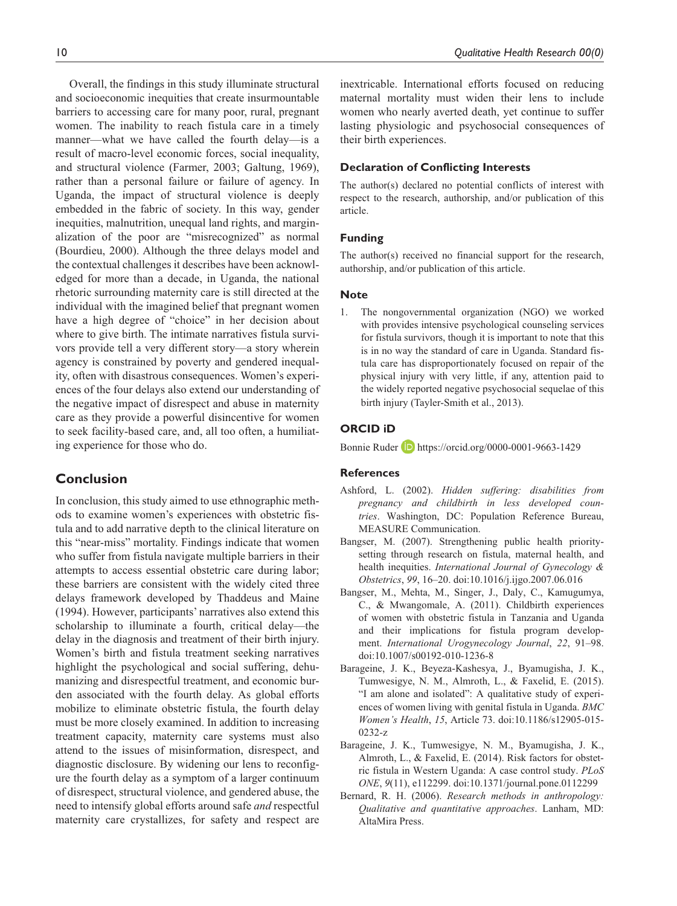Overall, the findings in this study illuminate structural and socioeconomic inequities that create insurmountable barriers to accessing care for many poor, rural, pregnant women. The inability to reach fistula care in a timely manner—what we have called the fourth delay—is a result of macro-level economic forces, social inequality, and structural violence (Farmer, 2003; Galtung, 1969), rather than a personal failure or failure of agency. In Uganda, the impact of structural violence is deeply embedded in the fabric of society. In this way, gender inequities, malnutrition, unequal land rights, and marginalization of the poor are "misrecognized" as normal (Bourdieu, 2000). Although the three delays model and the contextual challenges it describes have been acknowledged for more than a decade, in Uganda, the national rhetoric surrounding maternity care is still directed at the individual with the imagined belief that pregnant women have a high degree of "choice" in her decision about where to give birth. The intimate narratives fistula survivors provide tell a very different story—a story wherein agency is constrained by poverty and gendered inequality, often with disastrous consequences. Women's experiences of the four delays also extend our understanding of the negative impact of disrespect and abuse in maternity care as they provide a powerful disincentive for women to seek facility-based care, and, all too often, a humiliating experience for those who do.

# **Conclusion**

In conclusion, this study aimed to use ethnographic methods to examine women's experiences with obstetric fistula and to add narrative depth to the clinical literature on this "near-miss" mortality. Findings indicate that women who suffer from fistula navigate multiple barriers in their attempts to access essential obstetric care during labor; these barriers are consistent with the widely cited three delays framework developed by Thaddeus and Maine (1994). However, participants' narratives also extend this scholarship to illuminate a fourth, critical delay—the delay in the diagnosis and treatment of their birth injury. Women's birth and fistula treatment seeking narratives highlight the psychological and social suffering, dehumanizing and disrespectful treatment, and economic burden associated with the fourth delay. As global efforts mobilize to eliminate obstetric fistula, the fourth delay must be more closely examined. In addition to increasing treatment capacity, maternity care systems must also attend to the issues of misinformation, disrespect, and diagnostic disclosure. By widening our lens to reconfigure the fourth delay as a symptom of a larger continuum of disrespect, structural violence, and gendered abuse, the need to intensify global efforts around safe *and* respectful maternity care crystallizes, for safety and respect are inextricable. International efforts focused on reducing maternal mortality must widen their lens to include women who nearly averted death, yet continue to suffer lasting physiologic and psychosocial consequences of their birth experiences.

## **Declaration of Conflicting Interests**

The author(s) declared no potential conflicts of interest with respect to the research, authorship, and/or publication of this article.

#### **Funding**

The author(s) received no financial support for the research, authorship, and/or publication of this article.

#### **Note**

1. The nongovernmental organization (NGO) we worked with provides intensive psychological counseling services for fistula survivors, though it is important to note that this is in no way the standard of care in Uganda. Standard fistula care has disproportionately focused on repair of the physical injury with very little, if any, attention paid to the widely reported negative psychosocial sequelae of this birth injury (Tayler-Smith et al., 2013).

## **ORCID iD**

Bonnie Ruder D <https://orcid.org/0000-0001-9663-1429>

#### **References**

- Ashford, L. (2002). *Hidden suffering: disabilities from pregnancy and childbirth in less developed countries*. Washington, DC: Population Reference Bureau, MEASURE Communication.
- Bangser, M. (2007). Strengthening public health prioritysetting through research on fistula, maternal health, and health inequities. *International Journal of Gynecology & Obstetrics*, *99*, 16–20. doi:10.1016/j.ijgo.2007.06.016
- Bangser, M., Mehta, M., Singer, J., Daly, C., Kamugumya, C., & Mwangomale, A. (2011). Childbirth experiences of women with obstetric fistula in Tanzania and Uganda and their implications for fistula program development. *International Urogynecology Journal*, *22*, 91–98. doi:10.1007/s00192-010-1236-8
- Barageine, J. K., Beyeza-Kashesya, J., Byamugisha, J. K., Tumwesigye, N. M., Almroth, L., & Faxelid, E. (2015). "I am alone and isolated": A qualitative study of experiences of women living with genital fistula in Uganda. *BMC Women's Health*, *15*, Article 73. doi:10.1186/s12905-015- 0232-z
- Barageine, J. K., Tumwesigye, N. M., Byamugisha, J. K., Almroth, L., & Faxelid, E. (2014). Risk factors for obstetric fistula in Western Uganda: A case control study. *PLoS ONE*, *9*(11), e112299. doi:10.1371/journal.pone.0112299
- Bernard, R. H. (2006). *Research methods in anthropology: Qualitative and quantitative approaches*. Lanham, MD: AltaMira Press.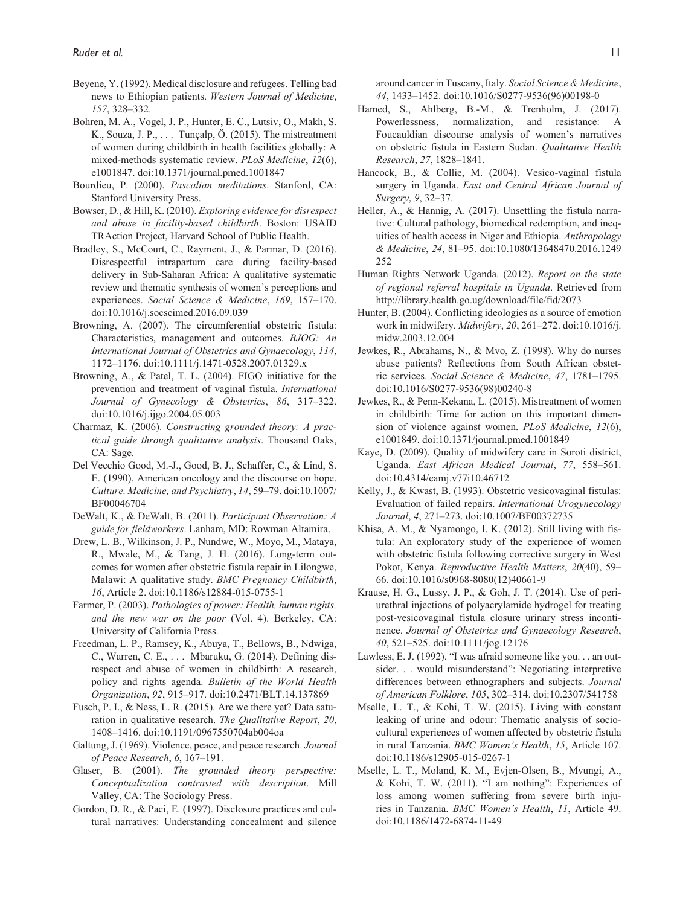- Beyene, Y. (1992). Medical disclosure and refugees. Telling bad news to Ethiopian patients. *Western Journal of Medicine*, *157*, 328–332.
- Bohren, M. A., Vogel, J. P., Hunter, E. C., Lutsiv, O., Makh, S. K., Souza, J. P., . . . Tunçalp, Ö. (2015). The mistreatment of women during childbirth in health facilities globally: A mixed-methods systematic review. *PLoS Medicine*, *12*(6), e1001847. doi:10.1371/journal.pmed.1001847
- Bourdieu, P. (2000). *Pascalian meditations*. Stanford, CA: Stanford University Press.
- Bowser, D., & Hill, K. (2010). *Exploring evidence for disrespect and abuse in facility-based childbirth*. Boston: USAID TRAction Project, Harvard School of Public Health.
- Bradley, S., McCourt, C., Rayment, J., & Parmar, D. (2016). Disrespectful intrapartum care during facility-based delivery in Sub-Saharan Africa: A qualitative systematic review and thematic synthesis of women's perceptions and experiences. *Social Science & Medicine*, *169*, 157–170. doi:10.1016/j.socscimed.2016.09.039
- Browning, A. (2007). The circumferential obstetric fistula: Characteristics, management and outcomes. *BJOG: An International Journal of Obstetrics and Gynaecology*, *114*, 1172–1176. doi:10.1111/j.1471-0528.2007.01329.x
- Browning, A., & Patel, T. L. (2004). FIGO initiative for the prevention and treatment of vaginal fistula. *International Journal of Gynecology & Obstetrics*, *86*, 317–322. doi:10.1016/j.ijgo.2004.05.003
- Charmaz, K. (2006). *Constructing grounded theory: A practical guide through qualitative analysis*. Thousand Oaks, CA: Sage.
- Del Vecchio Good, M.-J., Good, B. J., Schaffer, C., & Lind, S. E. (1990). American oncology and the discourse on hope. *Culture, Medicine, and Psychiatry*, *14*, 59–79. doi:10.1007/ BF00046704
- DeWalt, K., & DeWalt, B. (2011). *Participant Observation: A guide for fieldworkers*. Lanham, MD: Rowman Altamira.
- Drew, L. B., Wilkinson, J. P., Nundwe, W., Moyo, M., Mataya, R., Mwale, M., & Tang, J. H. (2016). Long-term outcomes for women after obstetric fistula repair in Lilongwe, Malawi: A qualitative study. *BMC Pregnancy Childbirth*, *16*, Article 2. doi:10.1186/s12884-015-0755-1
- Farmer, P. (2003). *Pathologies of power: Health, human rights, and the new war on the poor* (Vol. 4). Berkeley, CA: University of California Press.
- Freedman, L. P., Ramsey, K., Abuya, T., Bellows, B., Ndwiga, C., Warren, C. E., . . . Mbaruku, G. (2014). Defining disrespect and abuse of women in childbirth: A research, policy and rights agenda. *Bulletin of the World Health Organization*, *92*, 915–917. doi:10.2471/BLT.14.137869
- Fusch, P. I., & Ness, L. R. (2015). Are we there yet? Data saturation in qualitative research. *The Qualitative Report*, *20*, 1408–1416. doi:10.1191/0967550704ab004oa
- Galtung, J. (1969). Violence, peace, and peace research. *Journal of Peace Research*, *6*, 167–191.
- Glaser, B. (2001). *The grounded theory perspective: Conceptualization contrasted with description*. Mill Valley, CA: The Sociology Press.
- Gordon, D. R., & Paci, E. (1997). Disclosure practices and cultural narratives: Understanding concealment and silence

around cancer in Tuscany, Italy. *Social Science & Medicine*, *44*, 1433–1452. doi:10.1016/S0277-9536(96)00198-0

- Hamed, S., Ahlberg, B.-M., & Trenholm, J. (2017). Powerlessness, normalization, and resistance: A Foucauldian discourse analysis of women's narratives on obstetric fistula in Eastern Sudan. *Qualitative Health Research*, *27*, 1828–1841.
- Hancock, B., & Collie, M. (2004). Vesico-vaginal fistula surgery in Uganda. *East and Central African Journal of Surgery*, *9*, 32–37.
- Heller, A., & Hannig, A. (2017). Unsettling the fistula narrative: Cultural pathology, biomedical redemption, and inequities of health access in Niger and Ethiopia. *Anthropology & Medicine*, *24*, 81–95. doi:10.1080/13648470.2016.1249 252
- Human Rights Network Uganda. (2012). *Report on the state of regional referral hospitals in Uganda*. Retrieved from <http://library.health.go.ug/download/file/fid/2073>
- Hunter, B. (2004). Conflicting ideologies as a source of emotion work in midwifery. *Midwifery*, *20*, 261–272. doi:10.1016/j. midw.2003.12.004
- Jewkes, R., Abrahams, N., & Mvo, Z. (1998). Why do nurses abuse patients? Reflections from South African obstetric services. *Social Science & Medicine*, *47*, 1781–1795. doi:10.1016/S0277-9536(98)00240-8
- Jewkes, R., & Penn-Kekana, L. (2015). Mistreatment of women in childbirth: Time for action on this important dimension of violence against women. *PLoS Medicine*, *12*(6), e1001849. doi:10.1371/journal.pmed.1001849
- Kaye, D. (2009). Quality of midwifery care in Soroti district, Uganda. *East African Medical Journal*, *77*, 558–561. doi:10.4314/eamj.v77i10.46712
- Kelly, J., & Kwast, B. (1993). Obstetric vesicovaginal fistulas: Evaluation of failed repairs. *International Urogynecology Journal*, *4*, 271–273. doi:10.1007/BF00372735
- Khisa, A. M., & Nyamongo, I. K. (2012). Still living with fistula: An exploratory study of the experience of women with obstetric fistula following corrective surgery in West Pokot, Kenya. *Reproductive Health Matters*, *20*(40), 59– 66. doi:10.1016/s0968-8080(12)40661-9
- Krause, H. G., Lussy, J. P., & Goh, J. T. (2014). Use of periurethral injections of polyacrylamide hydrogel for treating post-vesicovaginal fistula closure urinary stress incontinence. *Journal of Obstetrics and Gynaecology Research*, *40*, 521–525. doi:10.1111/jog.12176
- Lawless, E. J. (1992). "I was afraid someone like you. . . an outsider. . . would misunderstand": Negotiating interpretive differences between ethnographers and subjects. *Journal of American Folklore*, *105*, 302–314. doi:10.2307/541758
- Mselle, L. T., & Kohi, T. W. (2015). Living with constant leaking of urine and odour: Thematic analysis of sociocultural experiences of women affected by obstetric fistula in rural Tanzania. *BMC Women's Health*, *15*, Article 107. doi:10.1186/s12905-015-0267-1
- Mselle, L. T., Moland, K. M., Evjen-Olsen, B., Mvungi, A., & Kohi, T. W. (2011). "I am nothing": Experiences of loss among women suffering from severe birth injuries in Tanzania. *BMC Women's Health*, *11*, Article 49. doi:10.1186/1472-6874-11-49